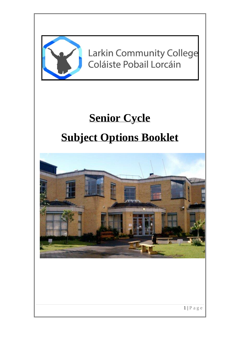

**Larkin Community College** Coláiste Pobail Lorcáin

# **Senior Cycle Subject Options Booklet**



 $1 | P a g e$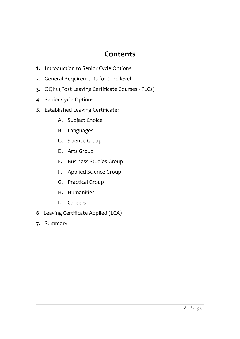### **Contents**

- **1.** Introduction to Senior Cycle Options
- **2.** General Requirements for third level
- **3.** QQI's (Post Leaving Certificate Courses PLCs)
- **4.** Senior Cycle Options
- **5.** Established Leaving Certificate:
	- A. Subject Choice
	- B. Languages
	- C. Science Group
	- D. Arts Group
	- E. Business Studies Group
	- F. Applied Science Group
	- G. Practical Group
	- H. Humanities
	- I. Careers
- **6.** Leaving Certificate Applied (LCA)
- **7.** Summary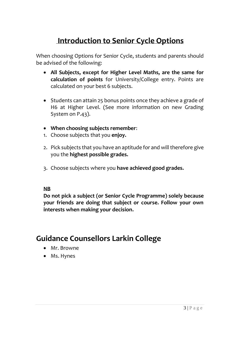### **Introduction to Senior Cycle Options**

When choosing Options for Senior Cycle, students and parents should be advised of the following:

- **All Subjects, except for Higher Level Maths, are the same for calculation of points** for University/College entry. Points are calculated on your best 6 subjects.
- Students can attain 25 bonus points once they achieve a grade of H6 at Higher Level. (See more information on new Grading System on P.43).
- **When choosing subjects remember**:
- 1. Choose subjects that you **enjoy.**
- 2. Pick subjects that you have an aptitude for and will therefore give you the **highest possible grades.**
- 3. Choose subjects where you **have achieved good grades.**

#### **NB**

**Do not pick a subject (or Senior Cycle Programme) solely because your friends are doing that subject or course. Follow your own interests when making your decision.**

### **Guidance Counsellors Larkin College**

- Mr. Browne
- Ms. Hynes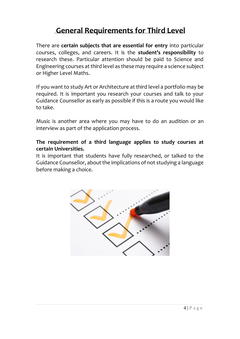### **General Requirements for Third Level**

There are **certain subjects that are essential for entry** into particular courses, colleges, and careers. It is the **student's responsibility** to research these. Particular attention should be paid to Science and Engineering courses at third level as these may require a science subject or Higher Level Maths.

If you want to study Art or Architecture at third level a portfolio may be required. It is important you research your courses and talk to your Guidance Counsellor as early as possible if this is a route you would like to take.

Music is another area where you may have to do an audition or an interview as part of the application process.

#### **The requirement of a third language applies to study courses at certain Universities.**

It is important that students have fully researched, or talked to the Guidance Counsellor, about the implications of not studying a language before making a choice.

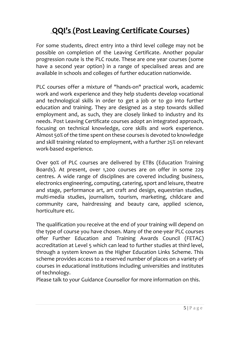## **QQI's (Post Leaving Certificate Courses)**

For some students, direct entry into a third level college may not be possible on completion of the Leaving Certificate. Another popular progression route is the PLC route. These are one year courses (some have a second year option) in a range of specialised areas and are available in schools and colleges of further education nationwide.

PLC courses offer a mixture of "hands-on" practical work, academic work and work experience and they help students develop vocational and technological skills in order to get a job or to go into further education and training. They are designed as a step towards skilled employment and, as such, they are closely linked to industry and its needs. Post Leaving Certificate courses adopt an integrated approach, focusing on technical knowledge, core skills and work experience. Almost 50% of the time spent on these courses is devoted to knowledge and skill training related to employment, with a further 25% on relevant work-based experience.

Over 90% of PLC courses are delivered by ETBs (Education Training Boards). At present, over 1,200 courses are on offer in some 229 centres. A wide range of disciplines are covered including business, electronics engineering, computing, catering, sport and leisure, theatre and stage, performance art, art craft and design, equestrian studies, multi-media studies, journalism, tourism, marketing, childcare and community care, hairdressing and beauty care, applied science, horticulture etc.

The qualification you receive at the end of your training will depend on the type of course you have chosen. Many of the one-year PLC courses offer [Further Education and Training Awards Council](http://www.fetac.ie/) (FETAC) accreditation at Level 5 which can lead to further studies at third level, through a system known as the Higher Education Links Scheme. This scheme provides access to a reserved number of places on a variety of courses in educational institutions including universities and institutes of technology.

Please talk to your Guidance Counsellor for more information on this.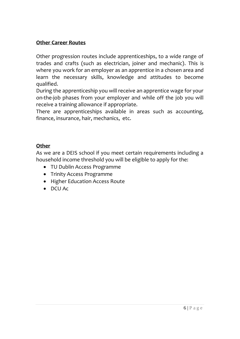#### **Other Career Routes**

Other progression routes include apprenticeships, to a wide range of trades and crafts (such as electrician, joiner and mechanic). This is where you work for an employer as an apprentice in a chosen area and learn the necessary skills, knowledge and attitudes to become qualified.

During the apprenticeship you will receive an apprentice wage for your on-the-job phases from your employer and while off the job you will receive a training allowance if appropriate.

There are apprenticeships available in areas such as accounting, finance, insurance, hair, mechanics, etc.

#### **Other**

As we are a DEIS school if you meet certain requirements including a household income threshold you will be eligible to apply for the:

- TU Dublin Access Programme
- Trinity Access Programme
- Higher Education Access Route
- DCU Ac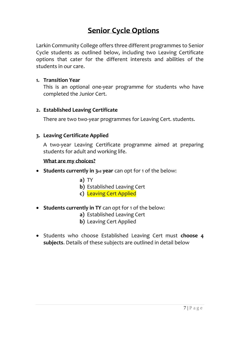### **Senior Cycle Options**

Larkin Community College offers three different programmes to Senior Cycle students as outlined below, including two Leaving Certificate options that cater for the different interests and abilities of the students in our care.

#### **1. Transition Year**

This is an optional one-year programme for students who have completed the Junior Cert.

#### **2. Established Leaving Certificate**

There are two two-year programmes for Leaving Cert. students.

#### **3. Leaving Certificate Applied**

A two-year Leaving Certificate programme aimed at preparing students for adult and working life.

#### **What are my choices?**

- **Students currently in 3rd year** can opt for 1 of the below:
	- **a)** TY
	- **b)** Established Leaving Cert
	- **c)** Leaving Cert Applied
- **Students currently in TY** can opt for 1 of the below:
	- **a)** Established Leaving Cert
	- **b)** Leaving Cert Applied
- Students who choose Established Leaving Cert must **choose 4 subjects**. Details of these subjects are outlined in detail below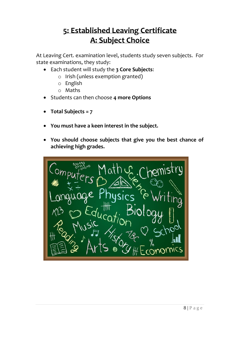### **5: Established Leaving Certificate A: Subject Choice**

At Leaving Cert. examination level, students study seven subjects. For state examinations, they study:

- Each student will study the **3 Core Subjects**:
	- o Irish (unless exemption granted)
	- o English
	- o Maths
- Students can then choose **4 more Options**
- **Total Subjects = 7**
- **You must have a keen interest in the subject.**
- **You should choose subjects that give you the best chance of achieving high grades.**

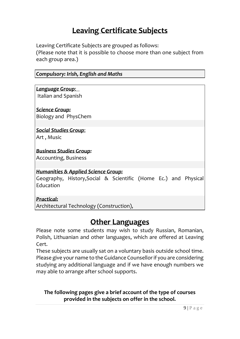### **Leaving Certificate Subjects**

Leaving Certificate Subjects are grouped as follows:

(Please note that it is possible to choose more than one subject from each group area.)

| <b>Compulsory: Irish, English and Maths</b>                                  |  |  |  |  |  |
|------------------------------------------------------------------------------|--|--|--|--|--|
|                                                                              |  |  |  |  |  |
| Language Group:                                                              |  |  |  |  |  |
| Italian and Spanish                                                          |  |  |  |  |  |
| Science Group:                                                               |  |  |  |  |  |
| Biology and PhysChem                                                         |  |  |  |  |  |
|                                                                              |  |  |  |  |  |
| <u> Social Studies Group:</u>                                                |  |  |  |  |  |
| Art, Music                                                                   |  |  |  |  |  |
| <b>Business Studies Group:</b>                                               |  |  |  |  |  |
| <b>Accounting, Business</b>                                                  |  |  |  |  |  |
|                                                                              |  |  |  |  |  |
| <b>Humanities &amp; Applied Science Group:</b>                               |  |  |  |  |  |
| Geography, History, Social & Scientific (Home Ec.) and Physical<br>Education |  |  |  |  |  |
| <u> Practical:</u>                                                           |  |  |  |  |  |

Architectural Technology (Construction),

### **Other Languages**

Please note some students may wish to study Russian, Romanian, Polish, Lithuanian and other languages, which are offered at Leaving Cert.

These subjects are usually sat on a voluntary basis outside school time. Please give your name to the Guidance Counsellor if you are considering studying any additional language and if we have enough numbers we may able to arrange after school supports.

#### **The following pages give a brief account of the type of courses provided in the subjects on offer in the school.**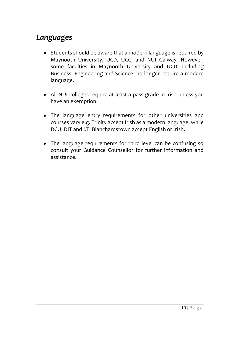### *Languages*

- Students should be aware that a modern language is required by Maynooth University, UCD, UCC, and NUI Galway. However, some faculties in Maynooth University and UCD, including Business, Engineering and Science, no longer require a modern language.
- All NUI colleges require at least a pass grade in Irish unless you have an exemption.
- The language entry requirements for other universities and courses vary e.g. Trinity accept Irish as a modern language, while DCU, DIT and I.T. Blanchardstown accept English or Irish.
- The language requirements for third level can be confusing so consult your Guidance Counsellor for further information and assistance.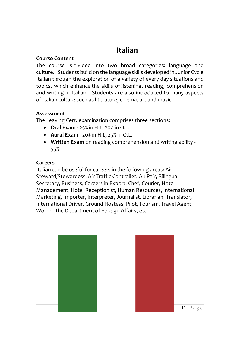### **Italian**

#### **Course Content**

The course is divided into two broad categories: language and culture. Students build on the language skills developed in Junior Cycle Italian through the exploration of a variety of every day situations and topics, which enhance the skills of listening, reading, comprehension and writing in Italian. Students are also introduced to many aspects of Italian culture such as literature, cinema, art and music.

#### **Assessment**

The Leaving Cert. examination comprises three sections:

- **Oral Exam -** 25% in H.L, 20% in O.L.
- **Aural Exam** 20% in H.L, 25% in O.L.
- **Written Exam** on reading comprehension and writing ability 55%

#### **Careers**

Italian can be useful for careers in the following areas: Air Steward/Stewardess, Air Traffic Controller, Au Pair, Bilingual Secretary, Business, Careers in Export, Chef, Courier, Hotel Management, Hotel Receptionist, Human Resources, International Marketing, Importer, Interpreter, Journalist, Librarian, Translator, International Driver, Ground Hostess, Pilot, Tourism, Travel Agent, Work in the Department of Foreign Affairs, etc.





 $11 | P a g e$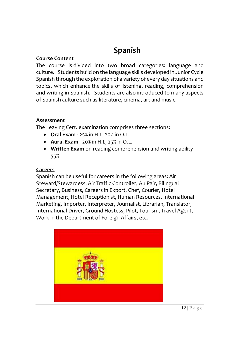## **Spanish**

#### **Course Content**

The course is divided into two broad categories: language and culture. Students build on the language skills developed in Junior Cycle Spanish through the exploration of a variety of every day situations and topics, which enhance the skills of listening, reading, comprehension and writing in Spanish. Students are also introduced to many aspects of Spanish culture such as literature, cinema, art and music.

#### **Assessment**

The Leaving Cert. examination comprises three sections:

- **Oral Exam -** 25% in H.L, 20% in O.L.
- **Aural Exam** 20% in H.L, 25% in O.L.
- **Written Exam** on reading comprehension and writing ability 55%

#### **Careers**

Spanish can be useful for careers in the following areas: Air Steward/Stewardess, Air Traffic Controller, Au Pair, Bilingual Secretary, Business, Careers in Export, Chef, Courier, Hotel Management, Hotel Receptionist, Human Resources, International Marketing, Importer, Interpreter, Journalist, Librarian, Translator, International Driver, Ground Hostess, Pilot, Tourism, Travel Agent, Work in the Department of Foreign Affairs, etc.

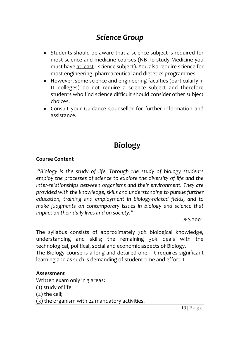### *Science Group*

- Students should be aware that a science subject is required for most science and medicine courses (NB To study Medicine you must have at least 1 science subject). You also require science for most engineering, pharmaceutical and dietetics programmes.
- However, some science and engineering faculties (particularly in IT colleges) do not require a science subject and therefore students who find science difficult should consider other subject choices.
- Consult your Guidance Counsellor for further information and assistance.

### **Biology**

#### **Course Content**

*"Biology is the study of life. Through the study of biology students employ the processes of science to explore the diversity of life and the inter-relationships between organisms and their environment. They are provided with the knowledge, skills and understanding to pursue further education, training and employment in biology-related fields, and to make judgments on contemporary issues in biology and science that impact on their daily lives and on society."* 

DES 2001

The syllabus consists of approximately 70% biological knowledge, understanding and skills; the remaining 30% deals with the technological, political, social and economic aspects of Biology. The Biology course is a long and detailed one. It requires significant learning and as such is demanding of student time and effort. I

#### **Assessment**

Written exam only in 3 areas: (1) study of life; (2) the cell; (3) the organism with 22 mandatory activities.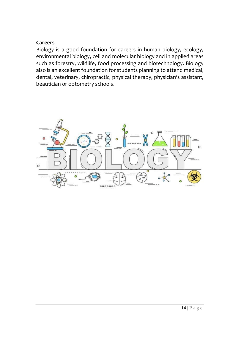#### **Careers**

Biology is a good foundation for careers in human biology, ecology, environmental biology, cell and molecular biology and in applied areas such as forestry, wildlife, food processing and biotechnology. Biology also is an excellent foundation for students planning to attend medical, dental, veterinary, chiropractic, physical therapy, physician's assistant, beautician or optometry schools.

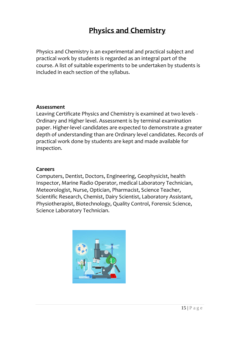### **Physics and Chemistry**

Physics and Chemistry is an experimental and practical subject and practical work by students is regarded as an integral part of the course. A list of suitable experiments to be undertaken by students is included in each section of the syllabus.

#### **Assessment**

Leaving Certificate Physics and Chemistry is examined at two levels - Ordinary and Higher level. Assessment is by terminal examination paper. Higher-level candidates are expected to demonstrate a greater depth of understanding than are Ordinary level candidates. Records of practical work done by students are kept and made available for inspection.

#### **Careers**

Computers, Dentist, Doctors, Engineering, Geophysicist, health Inspector, Marine Radio Operator, medical Laboratory Technician, Meteorologist, Nurse, Optician, Pharmacist, Science Teacher, Scientific Research, Chemist, Dairy Scientist, Laboratory Assistant, Physiotherapist, Biotechnology, Quality Control, Forensic Science, Science Laboratory Technician.

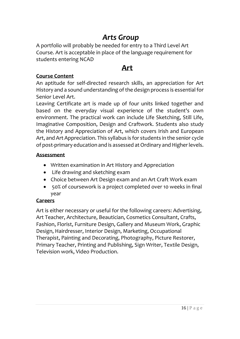### *Arts Group*

A portfolio will probably be needed for entry to a Third Level Art Course. Art is acceptable in place of the language requirement for students entering NCAD

### **Art**

#### **Course Content**

An aptitude for self-directed research skills, an appreciation for Art History and a sound understanding of the design process is essential for Senior Level Art.

Leaving Certificate art is made up of four units linked together and based on the everyday visual experience of the student's own environment. The practical work can include Life Sketching, Still Life, Imaginative Composition, Design and Craftwork. Students also study the History and Appreciation of Art, which covers Irish and European Art, and Art Appreciation. This syllabus is for students in the senior cycle of post-primary education and is assessed at Ordinary and Higher levels.

#### **Assessment**

- Written examination in Art History and Appreciation
- Life drawing and sketching exam
- Choice between Art Design exam and an Art Craft Work exam
- 50% of coursework is a project completed over 10 weeks in final year

#### **Careers**

Art is either necessary or useful for the following careers: Advertising, Art Teacher, Architecture, Beautician, Cosmetics Consultant, Crafts, Fashion, Florist, Furniture Design, Gallery and Museum Work, Graphic Design, Hairdresser, Interior Design, Marketing, Occupational Therapist, Painting and Decorating, Photography, Picture Restorer, Primary Teacher, Printing and Publishing, Sign Writer, Textile Design, Television work, Video Production.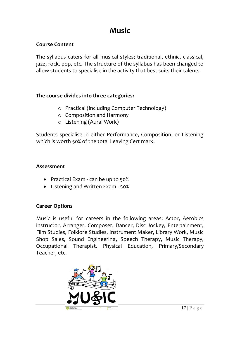### **Music**

#### **Course Content**

**T**he syllabus caters for all musical styles; traditional, ethnic, classical, jazz, rock, pop, etc. The structure of the syllabus has been changed to allow students to specialise in the activity that best suits their talents.

#### **The course divides into three categories:**

- o Practical (including Computer Technology)
- o Composition and Harmony
- o Listening (Aural Work)

Students specialise in either Performance, Composition, or Listening which is worth 50% of the total Leaving Cert mark.

#### **Assessment**

- Practical Exam can be up to 50%
- Listening and Written Exam 50%

#### **Career Options**

Music is useful for careers in the following areas: Actor, Aerobics instructor, Arranger, Composer, Dancer, Disc Jockey, Entertainment, Film Studies, Folklore Studies, Instrument Maker, Library Work, Music Shop Sales, Sound Engineering, Speech Therapy, Music Therapy, Occupational Therapist, Physical Education, Primary/Secondary Teacher, etc.

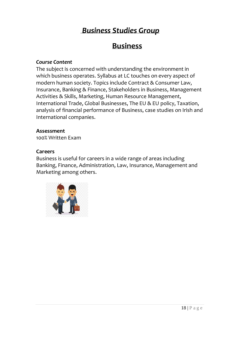### *Business Studies Group*

### **Business**

#### *Course Content*

The subject is concerned with understanding the environment in which business operates. Syllabus at LC touches on every aspect of modern human society. Topics include Contract & Consumer Law, Insurance, Banking & Finance, Stakeholders in Business, Management Activities & Skills, Marketing, Human Resource Management, International Trade, Global Businesses, The EU & EU policy, Taxation, analysis of financial performance of Business, case studies on Irish and International companies.

#### **Assessment**

100% Written Exam

#### **Careers**

Business is useful for careers in a wide range of areas including Banking, Finance, Administration, Law, Insurance, Management and Marketing among others.

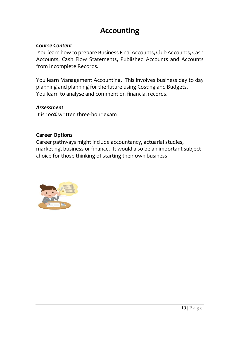### **Accounting**

#### *Course Content*

You learn how to prepare Business Final Accounts, Club Accounts, Cash Accounts, Cash Flow Statements, Published Accounts and Accounts from Incomplete Records.

You learn Management Accounting. This involves business day to day planning and planning for the future using Costing and Budgets. You learn to analyse and comment on financial records.

#### *Assessment*

It is 100% written three-hour exam

#### **Career Options**

Career pathways might include accountancy, actuarial studies, marketing, business or finance. It would also be an important subject choice for those thinking of starting their own business

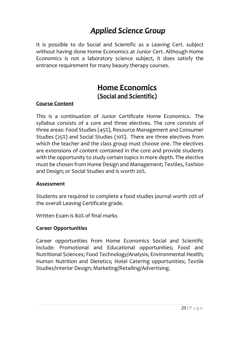### *Applied Science Group*

It is possible to do Social and Scientific as a Leaving Cert. subject without having done Home Economics at Junior Cert. Although Home Economics is not a laboratory science subject, it does satisfy the entrance requirement for many beauty therapy courses.

### **Home Economics (Social and Scientific)**

#### **Course Content**

This is a continuation of Junior Certificate Home Economics. The syllabus consists of a core and three electives. The core consists of three areas: Food Studies (45%), Resource Management and Consumer Studies (25%) and Social Studies (10%). There are three electives from which the teacher and the class group must choose one. The electives are extensions of content contained in the core and provide students with the opportunity to study certain topics in more depth. The elective must be chosen from Home Design and Management; Textiles, Fashion and Design; or Social Studies and is worth 20%.

#### **Assessment**

Students are required to complete a food studies journal worth 20% of the overall Leaving Certificate grade.

Written Exam is 80% of final marks

#### **Career Opportunities**

Career opportunities from Home Economics Social and Scientific include: Promotional and Educational opportunities; Food and Nutritional Sciences; Food Technology/Analysis; Environmental Health; Human Nutrition and Dietetics; Hotel Catering opportunities; Textile Studies/Interior Design; Marketing/Retailing/Advertising.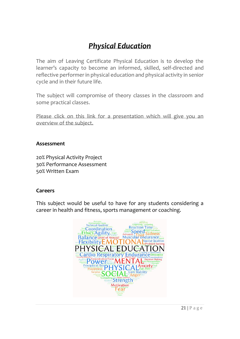### *Physical Education*

The aim of Leaving Certificate Physical Education is to develop the learner's capacity to become an informed, skilled, self-directed and reflective performer in physical education and physical activity in senior cycle and in their future life.

The subject will compromise of theory classes in the classroom and some practical classes.

[Please click on this link for a presentation which will give you an](https://prezi.com/view/rdjlnpkzvmQGqJKLaf9h/)  [overview of the subject.](https://prezi.com/view/rdjlnpkzvmQGqJKLaf9h/)

#### **Assessment**

20% Physical Activity Project 30% Performance Assessment 50% Written Exam

#### **Careers**

This subject would be useful to have for any students considering a career in health and fitness, sports management or coaching.

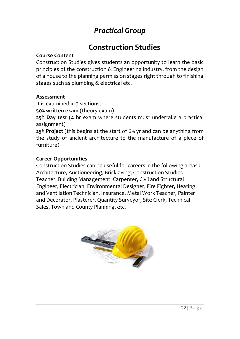### *Practical Group*

### **Construction Studies**

#### **Course Content**

Construction Studies gives students an opportunity to learn the basic principles of the construction & Engineering industry, from the design of a house to the planning permission stages right through to finishing stages such as plumbing & electrical etc.

#### **Assessment**

It is examined in 3 sections;

**50% written exam** (theory exam)

**25% Day test** (4 hr exam where students must undertake a practical assignment)

**25% Project** (this begins at the start of 6th yr and can be anything from the study of ancient architecture to the manufacture of a piece of furniture)

#### **Career Opportunities**

Construction Studies can be useful for careers in the following areas : Architecture, Auctioneering, Bricklaying, Construction Studies Teacher, Building Management, Carpenter, Civil and Structural Engineer, Electrician, Environmental Designer, Fire Fighter, Heating and Ventilation Technician, Insurance, Metal Work Teacher, Painter and Decorator, Plasterer, Quantity Surveyor, Site Clerk, Technical Sales, Town and County Planning, etc.

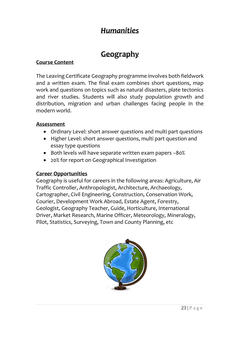### *Humanities*

### **Geography**

#### **Course Content**

The Leaving Certificate Geography programme involves both fieldwork and a written exam. The final exam combines short questions, map work and questions on topics such as natural disasters, plate tectonics and river studies. Students will also study population growth and distribution, migration and urban challenges facing people in the modern world.

#### **Assessment**

- Ordinary Level: short answer questions and multi part questions
- Higher Level: short answer questions, multi part question and essay type questions
- Both levels will have separate written exam papers –80%
- 20% for report on Geographical Investigation

#### **Career Opportunities**

Geography is useful for careers in the following areas: Agriculture, Air Traffic Controller, Anthropologist, Architecture, Archaeology, Cartographer, Civil Engineering, Construction, Conservation Work, Courier, Development Work Abroad, Estate Agent, Forestry, Geologist, Geography Teacher, Guide, Horticulture, International Driver, Market Research, Marine Officer, Meteorology, Mineralogy, Pilot, Statistics, Surveying, Town and County Planning, etc

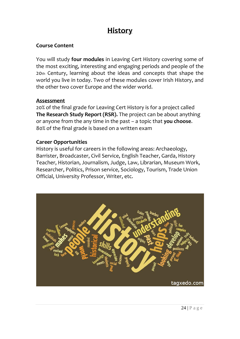### **History**

#### **Course Content**

You will study **four modules** in Leaving Cert History covering some of the most exciting, interesting and engaging periods and people of the 20th Century, learning about the ideas and concepts that shape the world you live in today. Two of these modules cover Irish History, and the other two cover Europe and the wider world.

#### **Assessment**

20% of the final grade for Leaving Cert History is for a project called **The Research Study Report (RSR).** The project can be about anything or anyone from the any time in the past – a topic that **you choose**. 80% of the final grade is based on a written exam

#### **Career Opportunities**

History is useful for careers in the following areas: Archaeology, Barrister, Broadcaster, Civil Service, English Teacher, Garda, History Teacher, Historian, Journalism, Judge, Law, Librarian, Museum Work, Researcher, Politics, Prison service, Sociology, Tourism, Trade Union Official, University Professor, Writer, etc.

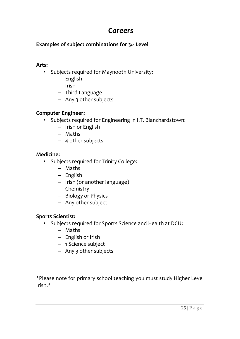### *Careers*

#### **Examples of subject combinations for 3rd Level**

#### **Arts:**

- Subjects required for Maynooth University:
	- English
	- Irish
	- Third Language
	- Any 3 other subjects

#### **Computer Engineer:**

- Subjects required for Engineering in I.T. Blanchardstown:
	- Irish or English
	- Maths
	- 4 other subjects

#### **Medicine:**

- Subjects required for Trinity College:
	- Maths
	- English
	- Irish (or another language)
	- Chemistry
	- Biology or Physics
	- Any other subject

#### **Sports Scientist:**

- Subjects required for Sports Science and Health at DCU:
	- Maths
	- English or Irish
	- 1 Science subject
	- Any 3 other subjects

\*Please note for primary school teaching you must study Higher Level Irish.\*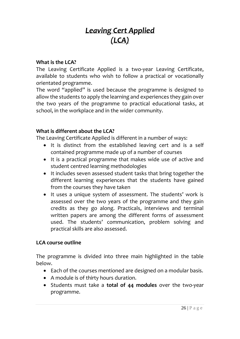### *Leaving Cert Applied (LCA)*

#### **What is the LCA?**

The Leaving Certificate Applied is a two-year Leaving Certificate, available to students who wish to follow a practical or vocationally orientated programme.

The word "applied" is used because the programme is designed to allow the students to apply the learning and experiences they gain over the two years of the programme to practical educational tasks, at school, in the workplace and in the wider community.

#### **What is different about the LCA?**

The Leaving Certificate Applied is different in a number of ways:

- It is distinct from the established leaving cert and is a self contained programme made up of a number of courses
- It is a practical programme that makes wide use of active and student centred learning methodologies
- It includes seven assessed student tasks that bring together the different learning experiences that the students have gained from the courses they have taken
- It uses a unique system of assessment. The students' work is assessed over the two years of the programme and they gain credits as they go along. Practicals, interviews and terminal written papers are among the different forms of assessment used. The students' communication, problem solving and practical skills are also assessed.

#### **LCA course outline**

The programme is divided into three main highlighted in the table below.

- Each of the courses mentioned are designed on a modular basis.
- A module is of thirty hours duration.
- Students must take a **total of 44 modules** over the two-year programme.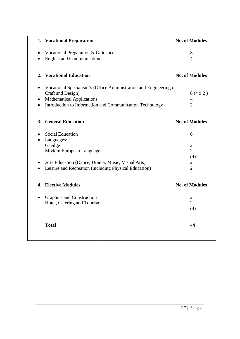| 1. Vocational Preparation                                         | <b>No. of Modules</b> |
|-------------------------------------------------------------------|-----------------------|
| Vocational Preparation & Guidance                                 | 8                     |
| <b>English and Communication</b>                                  | $\overline{4}$        |
| <b>Vocational Education</b><br>2.                                 | <b>No. of Modules</b> |
| Vocational Specialism's (Office Administration and Engineering or |                       |
| Craft and Design)                                                 | 8(4x2)                |
| <b>Mathematical Applications</b>                                  | $\overline{4}$        |
| Introduction to Information and Communication Technology          | $\overline{2}$        |
| <b>General Education</b><br>3.                                    | <b>No. of Modules</b> |
| <b>Social Education</b>                                           | 6                     |
| Languages:                                                        |                       |
| Gaeilge                                                           | $\overline{2}$        |
| Modern European Language                                          | $\overline{2}$        |
|                                                                   | (4)                   |
| Arts Education (Dance, Drama, Music, Visual Arts)                 | $\overline{2}$        |
| Leisure and Recreation (including Physical Education)             | $\overline{2}$        |
| <b>Elective Modules</b><br>4.                                     | <b>No. of Modules</b> |
| Graphics and Construction<br>$\bullet$                            | $\overline{2}$        |
| Hotel, Catering and Tourism                                       | $\overline{2}$        |
|                                                                   | (4)                   |
| <b>Total</b>                                                      | 44                    |
|                                                                   |                       |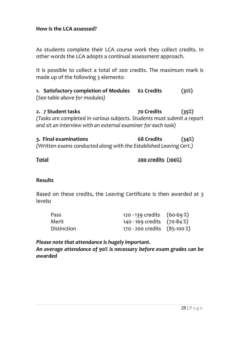#### **How is the LCA assessed?**

As students complete their LCA course work they collect credits. In other words the LCA adopts a continual assessment approach.

It is possible to collect a total of 200 credits. The maximum mark is made up of the following 3 elements:

**1. Satisfactory completion of Modules 62 Credits (31%)** *(See table above for modules)*

**2. 7 Student tasks 70 Credits (35%)** *(Tasks are completed in various subjects. Students must submit a report and sit an interview with an external examiner for each task)*

**3. Final examinations 68 Credits (34%)** *(Written exams conducted along with the Established Leaving Cert.)*

#### **Total 200 credits (100%)**

#### **Results**

Based on these credits, the Leaving Certificate is then awarded at 3 levels**:**

| Pass        | 120 - 139 credits $(60-69%)$   |  |
|-------------|--------------------------------|--|
| Merit       | 140 - 169 credits $(70-84%)$   |  |
| Distinction | 170 - 200 credits $(85-100\%)$ |  |

*Please note that attendance is hugely important.* 

*An average attendance of 90% is necessary before exam grades can be awarded*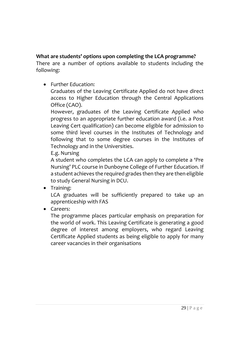### **What are students' options upon completing the LCA programme?**

There are a number of options available to students including the following:

• Further Education:

Graduates of the Leaving Certificate Applied do not have direct access to Higher Education through the Central Applications Office (CAO).

However, graduates of the Leaving Certificate Applied who progress to an appropriate further education award (i.e. a Post Leaving Cert qualification) can become eligible for admission to some third level courses in the Institutes of Technology and following that to some degree courses in the Institutes of Technology and in the Universities.

E.g. Nursing

A student who completes the LCA can apply to complete a 'Pre Nursing' PLC course in Dunboyne College of Further Education. If a student achieves the required grades then they are then eligible to study General Nursing in DCU.

• Training:

LCA graduates will be sufficiently prepared to take up an apprenticeship with FAS

• Careers:

The programme places particular emphasis on preparation for the world of work. This Leaving Certificate is generating a good degree of interest among employers, who regard Leaving Certificate Applied students as being eligible to apply for many career vacancies in their organisations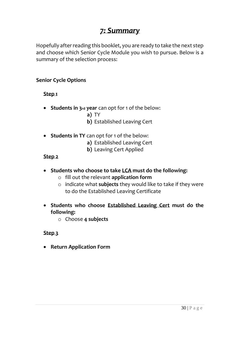### *7: Summary*

Hopefully after reading this booklet, you are ready to take the next step and choose which Senior Cycle Module you wish to pursue. Below is a summary of the selection process:

#### **Senior Cycle Options**

**Step 1**

- **Students in 3rd year** can opt for 1 of the below:
	- **a)** TY
	- **b)** Established Leaving Cert
- **Students in TY** can opt for 1 of the below:
	- **a)** Established Leaving Cert
	- **b)** Leaving Cert Applied

#### **Step 2**

- **Students who choose to take LCA must do the following:**
	- o fill out the relevant **application form**
	- o indicate what **subjects** they would like to take if they were to do the Established Leaving Certificate
- **Students who choose Established Leaving Cert must do the following:**
	- o Choose **4 subjects**

#### **Step 3**

• **Return Application Form**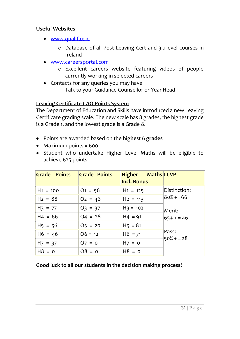#### **Useful Websites**

- [www.qualifax.ie](http://www.qualifax.ie/)
	- o Database of all Post Leaving Cert and 3rd level courses in Ireland
- [www.careersportal.com](http://www.careersportal.com/)
	- o Excellent careers website featuring videos of people currently working in selected careers
- Contacts for any queries you may have Talk to your Guidance Counsellor or Year Head

### **Leaving Certificate CAO Points System**

The Department of Education and Skills have introduced a new Leaving Certificate grading scale. The new scale has 8 grades, the highest grade is a Grade 1, and the lowest grade is a Grade 8.

- Points are awarded based on the **highest 6 grades**
- Maximum points = 600
- Student who undertake Higher Level Maths will be eligible to achieve 625 points

| Grade Points | Grade Points | <b>Higher Maths</b> LCVP<br><b>Incl. Bonus</b> |              |
|--------------|--------------|------------------------------------------------|--------------|
| $H1 = 100$   | $01 = 56$    | $H1 = 125$                                     | Distinction: |
| $H2 = 88$    | $O2 = 46$    | $H2 = 113$                                     | $80% + 56$   |
| $H_3 = 77$   | $O_3 = 37$   | $H_3 = 102$                                    | Merit:       |
| $H4 = 66$    | $O_4 = 28$   | $H4 = 91$                                      | $65% + 46$   |
| $H5 = 56$    | $05 = 20$    | $H5 = 81$                                      |              |
| $H6 = 46$    | $06 = 12$    | $H6 = 71$                                      | Pass:        |
| $H7 = 37$    | $O7 = 0$     | $H7 = 0$                                       | $50\% + 28$  |
| $H8 = 0$     | $08 = 0$     | $H8 = 0$                                       |              |

#### **Good luck to all our students in the decision making process!**